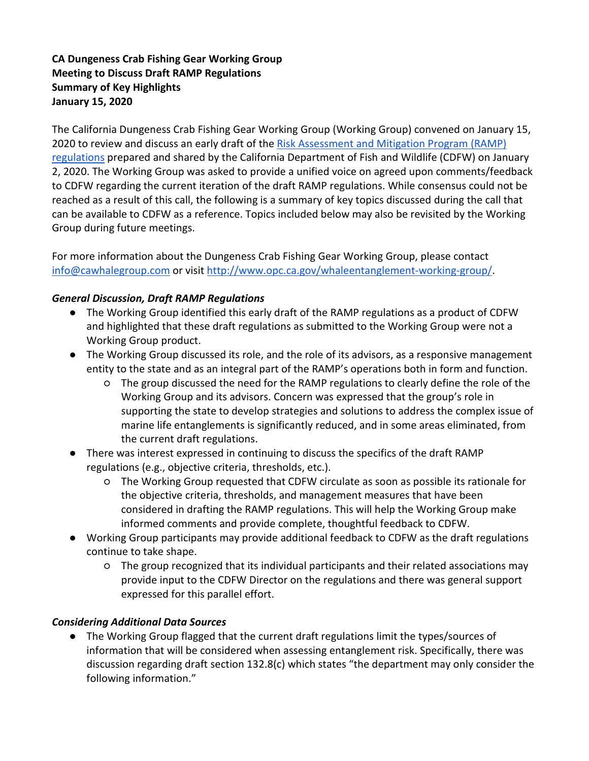# **CA Dungeness Crab Fishing Gear Working Group Meeting to Discuss Draft RAMP Regulations Summary of Key Highlights January 15, 2020**

The California Dungeness Crab Fishing Gear Working Group (Working Group) convened on January 15, 2020 to review and discuss an early draft of the [Risk Assessment and Mitigation Program \(RAMP\)](https://drive.google.com/open?id=0B6-V3xUQO_ivZFcwaE43Q0gwN0RJRmdHazM3YkY0ZlBkX3pR)  [regulations](https://drive.google.com/open?id=0B6-V3xUQO_ivZFcwaE43Q0gwN0RJRmdHazM3YkY0ZlBkX3pR) prepared and shared by the California Department of Fish and Wildlife (CDFW) on January 2, 2020. The Working Group was asked to provide a unified voice on agreed upon comments/feedback to CDFW regarding the current iteration of the draft RAMP regulations. While consensus could not be reached as a result of this call, the following is a summary of key topics discussed during the call that can be available to CDFW as a reference. Topics included below may also be revisited by the Working Group during future meetings.

For more information about the Dungeness Crab Fishing Gear Working Group, please contact [info@cawhalegroup.com](mailto:info@cawhalegroup.com) or visit [http://www.opc.ca.gov/whaleentanglement-working-group/.](http://www.opc.ca.gov/whaleentanglement-working-group/)

## *General Discussion, Draft RAMP Regulations*

- The Working Group identified this early draft of the RAMP regulations as a product of CDFW and highlighted that these draft regulations as submitted to the Working Group were not a Working Group product.
- The Working Group discussed its role, and the role of its advisors, as a responsive management entity to the state and as an integral part of the RAMP's operations both in form and function.
	- The group discussed the need for the RAMP regulations to clearly define the role of the Working Group and its advisors. Concern was expressed that the group's role in supporting the state to develop strategies and solutions to address the complex issue of marine life entanglements is significantly reduced, and in some areas eliminated, from the current draft regulations.
- There was interest expressed in continuing to discuss the specifics of the draft RAMP regulations (e.g., objective criteria, thresholds, etc.).
	- The Working Group requested that CDFW circulate as soon as possible its rationale for the objective criteria, thresholds, and management measures that have been considered in drafting the RAMP regulations. This will help the Working Group make informed comments and provide complete, thoughtful feedback to CDFW.
- Working Group participants may provide additional feedback to CDFW as the draft regulations continue to take shape.
	- The group recognized that its individual participants and their related associations may provide input to the CDFW Director on the regulations and there was general support expressed for this parallel effort.

## *Considering Additional Data Sources*

● The Working Group flagged that the current draft regulations limit the types/sources of information that will be considered when assessing entanglement risk. Specifically, there was discussion regarding draft section 132.8(c) which states "the department may only consider the following information."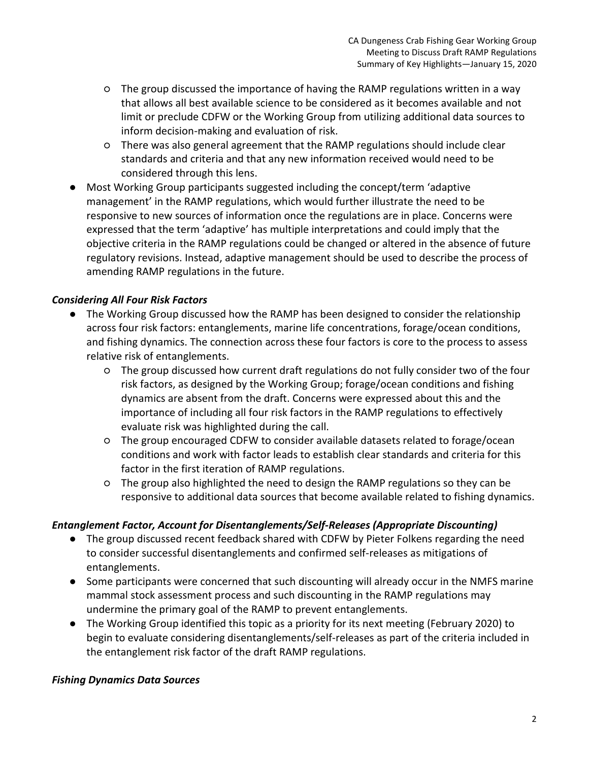- The group discussed the importance of having the RAMP regulations written in a way that allows all best available science to be considered as it becomes available and not limit or preclude CDFW or the Working Group from utilizing additional data sources to inform decision-making and evaluation of risk.
- There was also general agreement that the RAMP regulations should include clear standards and criteria and that any new information received would need to be considered through this lens.
- Most Working Group participants suggested including the concept/term 'adaptive management' in the RAMP regulations, which would further illustrate the need to be responsive to new sources of information once the regulations are in place. Concerns were expressed that the term 'adaptive' has multiple interpretations and could imply that the objective criteria in the RAMP regulations could be changed or altered in the absence of future regulatory revisions. Instead, adaptive management should be used to describe the process of amending RAMP regulations in the future.

## *Considering All Four Risk Factors*

- The Working Group discussed how the RAMP has been designed to consider the relationship across four risk factors: entanglements, marine life concentrations, forage/ocean conditions, and fishing dynamics. The connection across these four factors is core to the process to assess relative risk of entanglements.
	- The group discussed how current draft regulations do not fully consider two of the four risk factors, as designed by the Working Group; forage/ocean conditions and fishing dynamics are absent from the draft. Concerns were expressed about this and the importance of including all four risk factors in the RAMP regulations to effectively evaluate risk was highlighted during the call.
	- The group encouraged CDFW to consider available datasets related to forage/ocean conditions and work with factor leads to establish clear standards and criteria for this factor in the first iteration of RAMP regulations.
	- The group also highlighted the need to design the RAMP regulations so they can be responsive to additional data sources that become available related to fishing dynamics.

## *Entanglement Factor, Account for Disentanglements/Self-Releases (Appropriate Discounting)*

- The group discussed recent feedback shared with CDFW by Pieter Folkens regarding the need to consider successful disentanglements and confirmed self-releases as mitigations of entanglements.
- Some participants were concerned that such discounting will already occur in the NMFS marine mammal stock assessment process and such discounting in the RAMP regulations may undermine the primary goal of the RAMP to prevent entanglements.
- The Working Group identified this topic as a priority for its next meeting (February 2020) to begin to evaluate considering disentanglements/self-releases as part of the criteria included in the entanglement risk factor of the draft RAMP regulations.

### *Fishing Dynamics Data Sources*